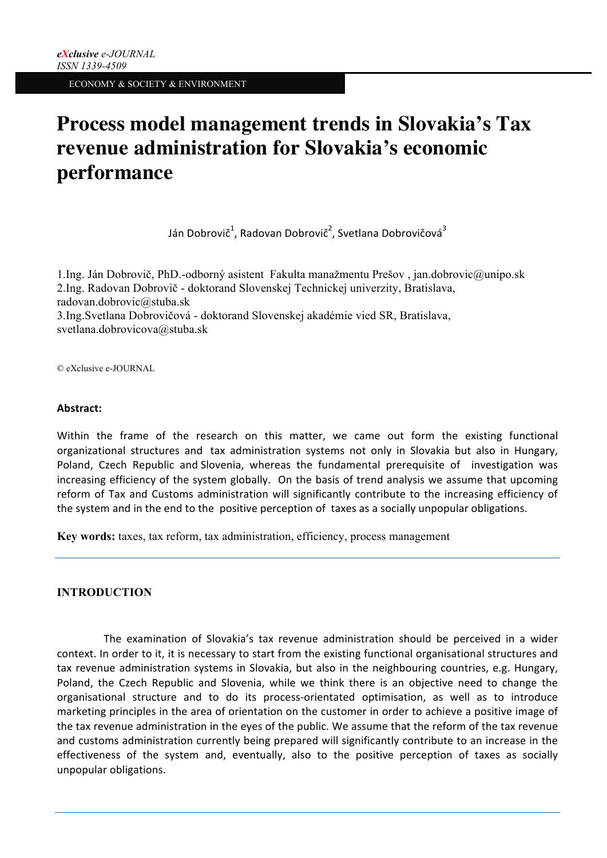# **Process model management trends in Slovakia's Tax revenue administration for Slovakia's economic performance**

Ján Dobrovič $^1$ , Radovan Dobrovič $^2$ , Svetlana Dobrovičová $^3$ 

1.Ing. Ján Dobrovič, PhD.-odborný asistent Fakulta manažmentu Prešov , jan.dobrovic@unipo.sk 2.Ing. Radovan Dobrovič - doktorand Slovenskej Technickej univerzity, Bratislava, radovan.dobrovic@stuba.sk 3.Ing.Svetlana Dobrovičová - doktorand Slovenskej akadémie vied SR, Bratislava, svetlana.dobrovicova@stuba.sk

© eXclusive e-JOURNAL

#### **Abstract:**

Within the frame of the research on this matter, we came out form the existing functional organizational structures and tax administration systems not only in Slovakia but also in Hungary, Poland, Czech Republic and Slovenia, whereas the fundamental prerequisite of investigation was increasing efficiency of the system globally. On the basis of trend analysis we assume that upcoming reform of Tax and Customs administration will significantly contribute to the increasing efficiency of the system and in the end to the positive perception of taxes as a socially unpopular obligations.

**Key words:** taxes, tax reform, tax administration, efficiency, process management

## **INTRODUCTION**

The examination of Slovakia's tax revenue administration should be perceived in a wider context. In order to it, it is necessary to start from the existing functional organisational structures and tax revenue administration systems in Slovakia, but also in the neighbouring countries, e.g. Hungary, Poland, the Czech Republic and Slovenia, while we think there is an objective need to change the organisational structure and to do its process-orientated optimisation, as well as to introduce marketing principles in the area of orientation on the customer in order to achieve a positive image of the tax revenue administration in the eyes of the public. We assume that the reform of the tax revenue and customs administration currently being prepared will significantly contribute to an increase in the effectiveness of the system and, eventually, also to the positive perception of taxes as socially unpopular obligations.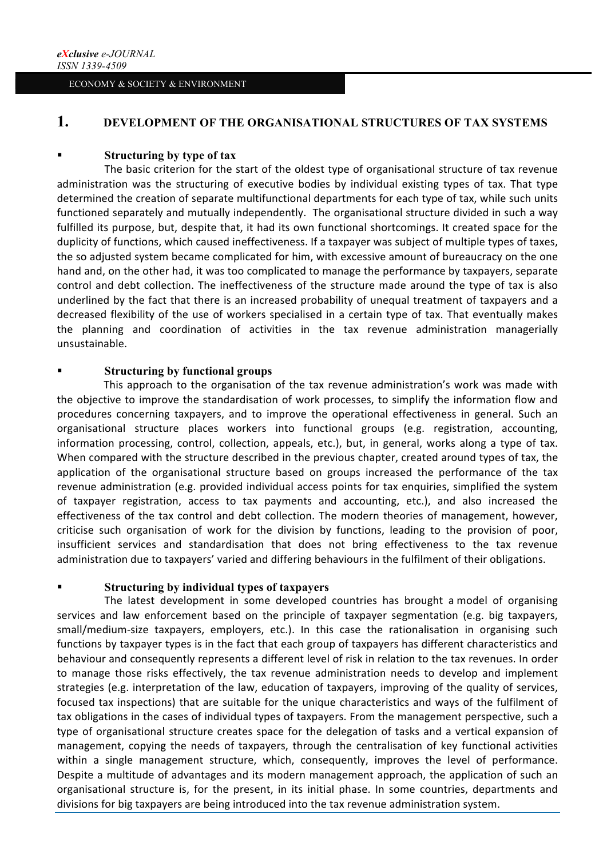# **1. DEVELOPMENT OF THE ORGANISATIONAL STRUCTURES OF TAX SYSTEMS**

#### § **Structuring by type of tax**

The basic criterion for the start of the oldest type of organisational structure of tax revenue administration was the structuring of executive bodies by individual existing types of tax. That type determined the creation of separate multifunctional departments for each type of tax, while such units functioned separately and mutually independently. The organisational structure divided in such a way fulfilled its purpose, but, despite that, it had its own functional shortcomings. It created space for the duplicity of functions, which caused ineffectiveness. If a taxpayer was subject of multiple types of taxes, the so adjusted system became complicated for him, with excessive amount of bureaucracy on the one hand and, on the other had, it was too complicated to manage the performance by taxpayers, separate control and debt collection. The ineffectiveness of the structure made around the type of tax is also underlined by the fact that there is an increased probability of unequal treatment of taxpayers and a decreased flexibility of the use of workers specialised in a certain type of tax. That eventually makes the planning and coordination of activities in the tax revenue administration managerially unsustainable.

## § **Structuring by functional groups**

This approach to the organisation of the tax revenue administration's work was made with the objective to improve the standardisation of work processes, to simplify the information flow and procedures concerning taxpayers, and to improve the operational effectiveness in general. Such an organisational structure places workers into functional groups (e.g. registration, accounting, information processing, control, collection, appeals, etc.), but, in general, works along a type of tax. When compared with the structure described in the previous chapter, created around types of tax, the application of the organisational structure based on groups increased the performance of the tax revenue administration (e.g. provided individual access points for tax enquiries, simplified the system of taxpayer registration, access to tax payments and accounting, etc.), and also increased the effectiveness of the tax control and debt collection. The modern theories of management, however, criticise such organisation of work for the division by functions, leading to the provision of poor, insufficient services and standardisation that does not bring effectiveness to the tax revenue administration due to taxpayers' varied and differing behaviours in the fulfilment of their obligations.

# § **Structuring by individual types of taxpayers**

The latest development in some developed countries has brought a model of organising services and law enforcement based on the principle of taxpayer segmentation (e.g. big taxpayers, small/medium-size taxpayers, employers, etc.). In this case the rationalisation in organising such functions by taxpayer types is in the fact that each group of taxpayers has different characteristics and behaviour and consequently represents a different level of risk in relation to the tax revenues. In order to manage those risks effectively, the tax revenue administration needs to develop and implement strategies (e.g. interpretation of the law, education of taxpayers, improving of the quality of services, focused tax inspections) that are suitable for the unique characteristics and ways of the fulfilment of tax obligations in the cases of individual types of taxpayers. From the management perspective, such a type of organisational structure creates space for the delegation of tasks and a vertical expansion of management, copying the needs of taxpayers, through the centralisation of key functional activities within a single management structure, which, consequently, improves the level of performance. Despite a multitude of advantages and its modern management approach, the application of such an organisational structure is, for the present, in its initial phase. In some countries, departments and divisions for big taxpayers are being introduced into the tax revenue administration system.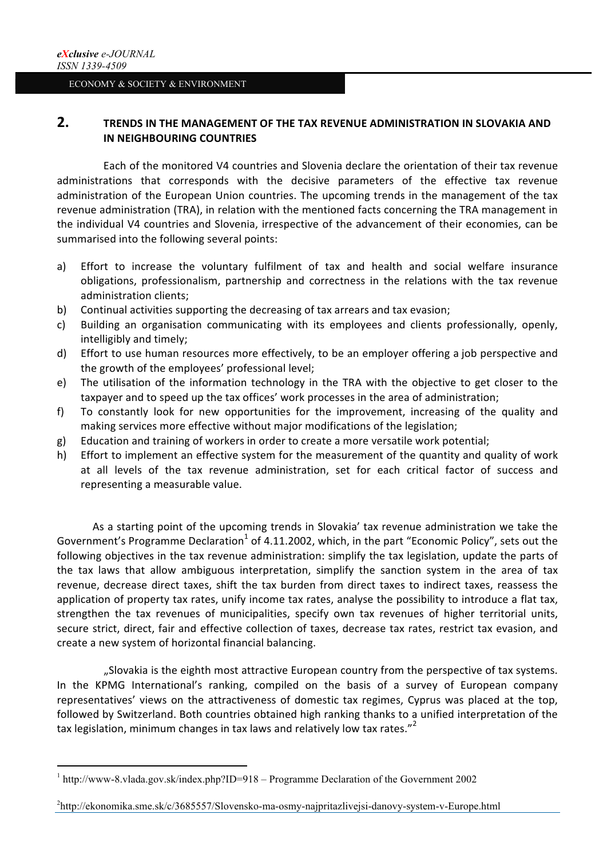# **2. TRENDS IN THE MANAGEMENT OF THE TAX REVENUE ADMINISTRATION IN SLOVAKIA AND IN NEIGHBOURING COUNTRIES**

Each of the monitored V4 countries and Slovenia declare the orientation of their tax revenue administrations that corresponds with the decisive parameters of the effective tax revenue administration of the European Union countries. The upcoming trends in the management of the tax revenue administration (TRA), in relation with the mentioned facts concerning the TRA management in the individual V4 countries and Slovenia, irrespective of the advancement of their economies, can be summarised into the following several points:

- a) Effort to increase the voluntary fulfilment of tax and health and social welfare insurance obligations, professionalism, partnership and correctness in the relations with the tax revenue administration clients;
- b) Continual activities supporting the decreasing of tax arrears and tax evasion;
- c) Building an organisation communicating with its employees and clients professionally, openly, intelligibly and timely;
- d) Effort to use human resources more effectively, to be an employer offering a job perspective and the growth of the employees' professional level;
- e) The utilisation of the information technology in the TRA with the objective to get closer to the taxpayer and to speed up the tax offices' work processes in the area of administration;
- f) To constantly look for new opportunities for the improvement, increasing of the quality and making services more effective without major modifications of the legislation;
- g) Education and training of workers in order to create a more versatile work potential;
- h) Effort to implement an effective system for the measurement of the quantity and quality of work at all levels of the tax revenue administration, set for each critical factor of success and representing a measurable value.

As a starting point of the upcoming trends in Slovakia' tax revenue administration we take the Government's Programme Declaration<sup>1</sup> of 4.11.2002, which, in the part "Economic Policy", sets out the following objectives in the tax revenue administration: simplify the tax legislation, update the parts of the tax laws that allow ambiguous interpretation, simplify the sanction system in the area of tax revenue, decrease direct taxes, shift the tax burden from direct taxes to indirect taxes, reassess the application of property tax rates, unify income tax rates, analyse the possibility to introduce a flat tax, strengthen the tax revenues of municipalities, specify own tax revenues of higher territorial units, secure strict, direct, fair and effective collection of taxes, decrease tax rates, restrict tax evasion, and create a new system of horizontal financial balancing.

"Slovakia is the eighth most attractive European country from the perspective of tax systems. In the KPMG International's ranking, compiled on the basis of a survey of European company representatives' views on the attractiveness of domestic tax regimes, Cyprus was placed at the top, followed by Switzerland. Both countries obtained high ranking thanks to a unified interpretation of the tax legislation, minimum changes in tax laws and relatively low tax rates."  $2^2$ 

 

2 http://ekonomika.sme.sk/c/3685557/Slovensko-ma-osmy-najpritazlivejsi-danovy-system-v-Europe.html

<sup>1</sup> http://www-8.vlada.gov.sk/index.php?ID=918 – Programme Declaration of the Government 2002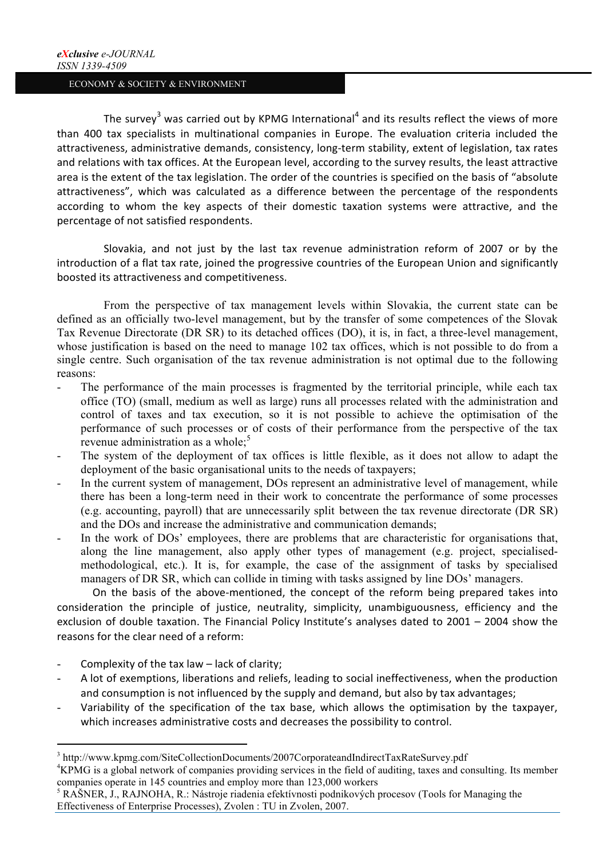The survey<sup>3</sup> was carried out by KPMG International<sup>4</sup> and its results reflect the views of more than 400 tax specialists in multinational companies in Europe. The evaluation criteria included the attractiveness, administrative demands, consistency, long-term stability, extent of legislation, tax rates and relations with tax offices. At the European level, according to the survey results, the least attractive area is the extent of the tax legislation. The order of the countries is specified on the basis of "absolute attractiveness", which was calculated as a difference between the percentage of the respondents according to whom the key aspects of their domestic taxation systems were attractive, and the percentage of not satisfied respondents.

Slovakia, and not just by the last tax revenue administration reform of 2007 or by the introduction of a flat tax rate, joined the progressive countries of the European Union and significantly boosted its attractiveness and competitiveness.

From the perspective of tax management levels within Slovakia, the current state can be defined as an officially two-level management, but by the transfer of some competences of the Slovak Tax Revenue Directorate (DR SR) to its detached offices (DO), it is, in fact, a three-level management, whose justification is based on the need to manage 102 tax offices, which is not possible to do from a single centre. Such organisation of the tax revenue administration is not optimal due to the following reasons:

- The performance of the main processes is fragmented by the territorial principle, while each tax office (TO) (small, medium as well as large) runs all processes related with the administration and control of taxes and tax execution, so it is not possible to achieve the optimisation of the performance of such processes or of costs of their performance from the perspective of the tax revenue administration as a whole;<sup>5</sup>
- The system of the deployment of tax offices is little flexible, as it does not allow to adapt the deployment of the basic organisational units to the needs of taxpayers;
- In the current system of management, DOs represent an administrative level of management, while there has been a long-term need in their work to concentrate the performance of some processes (e.g. accounting, payroll) that are unnecessarily split between the tax revenue directorate (DR SR) and the DOs and increase the administrative and communication demands;
- In the work of DOs' employees, there are problems that are characteristic for organisations that, along the line management, also apply other types of management (e.g. project, specialisedmethodological, etc.). It is, for example, the case of the assignment of tasks by specialised managers of DR SR, which can collide in timing with tasks assigned by line DOs' managers.

On the basis of the above-mentioned, the concept of the reform being prepared takes into consideration the principle of justice, neutrality, simplicity, unambiguousness, efficiency and the exclusion of double taxation. The Financial Policy Institute's analyses dated to  $2001 - 2004$  show the reasons for the clear need of a reform:

Complexity of the tax law  $-$  lack of clarity;

 

- A lot of exemptions, liberations and reliefs, leading to social ineffectiveness, when the production and consumption is not influenced by the supply and demand, but also by tax advantages;
- Variability of the specification of the tax base, which allows the optimisation by the taxpayer, which increases administrative costs and decreases the possibility to control.

<sup>3</sup> http://www.kpmg.com/SiteCollectionDocuments/2007CorporateandIndirectTaxRateSurvey.pdf

<sup>4</sup> KPMG is a global network of companies providing services in the field of auditing, taxes and consulting. Its member companies operate in 145 countries and employ more than 123,000 workers

<sup>5</sup> RAŠNER, J., RAJNOHA, R.: Nástroje riadenia efektívnosti podnikových procesov (Tools for Managing the Effectiveness of Enterprise Processes), Zvolen : TU in Zvolen, 2007.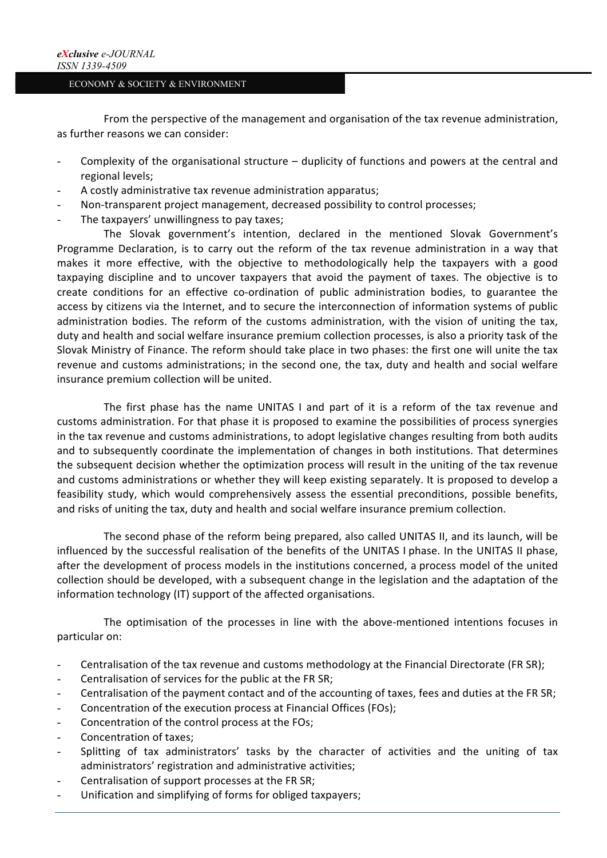From the perspective of the management and organisation of the tax revenue administration, as further reasons we can consider:

- Complexity of the organisational structure duplicity of functions and powers at the central and regional levels;
- A costly administrative tax revenue administration apparatus;
- Non-transparent project management, decreased possibility to control processes;
- The taxpayers' unwillingness to pay taxes;

The Slovak government's intention, declared in the mentioned Slovak Government's Programme Declaration, is to carry out the reform of the tax revenue administration in a way that makes it more effective, with the objective to methodologically help the taxpayers with a good taxpaying discipline and to uncover taxpayers that avoid the payment of taxes. The objective is to create conditions for an effective co-ordination of public administration bodies, to guarantee the access by citizens via the Internet, and to secure the interconnection of information systems of public administration bodies. The reform of the customs administration, with the vision of uniting the tax, duty and health and social welfare insurance premium collection processes, is also a priority task of the Slovak Ministry of Finance. The reform should take place in two phases: the first one will unite the tax revenue and customs administrations; in the second one, the tax, duty and health and social welfare insurance premium collection will be united.

The first phase has the name UNITAS I and part of it is a reform of the tax revenue and customs administration. For that phase it is proposed to examine the possibilities of process synergies in the tax revenue and customs administrations, to adopt legislative changes resulting from both audits and to subsequently coordinate the implementation of changes in both institutions. That determines the subsequent decision whether the optimization process will result in the uniting of the tax revenue and customs administrations or whether they will keep existing separately. It is proposed to develop a feasibility study, which would comprehensively assess the essential preconditions, possible benefits, and risks of uniting the tax, duty and health and social welfare insurance premium collection.

The second phase of the reform being prepared, also called UNITAS II, and its launch, will be influenced by the successful realisation of the benefits of the UNITAS I phase. In the UNITAS II phase, after the development of process models in the institutions concerned, a process model of the united collection should be developed, with a subsequent change in the legislation and the adaptation of the information technology (IT) support of the affected organisations.

The optimisation of the processes in line with the above-mentioned intentions focuses in particular on:

- Centralisation of the tax revenue and customs methodology at the Financial Directorate (FR SR);
- Centralisation of services for the public at the FR SR;
- Centralisation of the payment contact and of the accounting of taxes, fees and duties at the FR SR;
- Concentration of the execution process at Financial Offices (FOs);
- Concentration of the control process at the FOs;
- Concentration of taxes:
- Splitting of tax administrators' tasks by the character of activities and the uniting of tax administrators' registration and administrative activities:
- Centralisation of support processes at the FR SR;
- Unification and simplifying of forms for obliged taxpayers;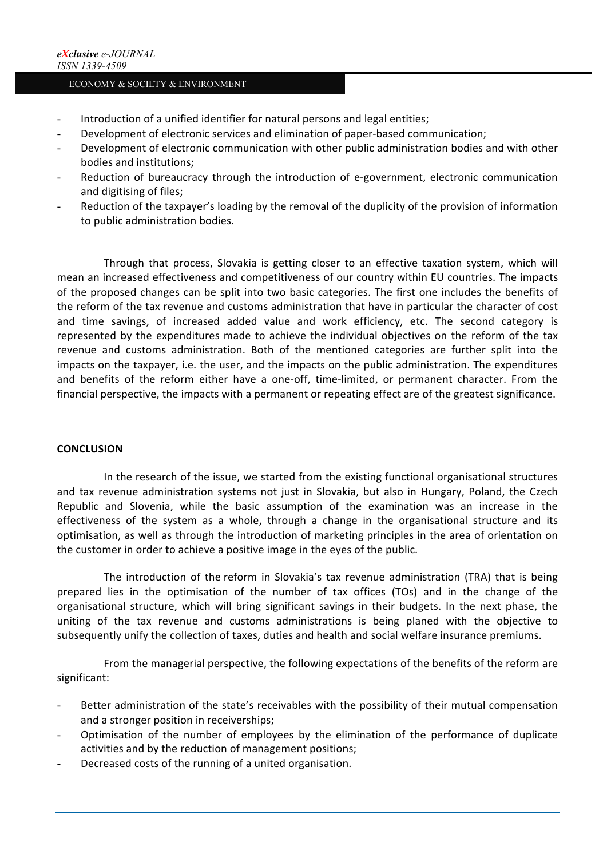- Introduction of a unified identifier for natural persons and legal entities;
- Development of electronic services and elimination of paper-based communication;
- Development of electronic communication with other public administration bodies and with other bodies and institutions:
- Reduction of bureaucracy through the introduction of e-government, electronic communication and digitising of files:
- Reduction of the taxpayer's loading by the removal of the duplicity of the provision of information to public administration bodies.

Through that process, Slovakia is getting closer to an effective taxation system, which will mean an increased effectiveness and competitiveness of our country within EU countries. The impacts of the proposed changes can be split into two basic categories. The first one includes the benefits of the reform of the tax revenue and customs administration that have in particular the character of cost and time savings, of increased added value and work efficiency, etc. The second category is represented by the expenditures made to achieve the individual objectives on the reform of the tax revenue and customs administration. Both of the mentioned categories are further split into the impacts on the taxpayer, i.e. the user, and the impacts on the public administration. The expenditures and benefits of the reform either have a one-off, time-limited, or permanent character. From the financial perspective, the impacts with a permanent or repeating effect are of the greatest significance.

#### **CONCLUSION**

In the research of the issue, we started from the existing functional organisational structures and tax revenue administration systems not just in Slovakia, but also in Hungary, Poland, the Czech Republic and Slovenia, while the basic assumption of the examination was an increase in the effectiveness of the system as a whole, through a change in the organisational structure and its optimisation, as well as through the introduction of marketing principles in the area of orientation on the customer in order to achieve a positive image in the eyes of the public.

The introduction of the reform in Slovakia's tax revenue administration (TRA) that is being prepared lies in the optimisation of the number of tax offices (TOs) and in the change of the organisational structure, which will bring significant savings in their budgets. In the next phase, the uniting of the tax revenue and customs administrations is being planed with the objective to subsequently unify the collection of taxes, duties and health and social welfare insurance premiums.

From the managerial perspective, the following expectations of the benefits of the reform are significant:

- Better administration of the state's receivables with the possibility of their mutual compensation and a stronger position in receiverships;
- Optimisation of the number of employees by the elimination of the performance of duplicate activities and by the reduction of management positions:
- Decreased costs of the running of a united organisation.